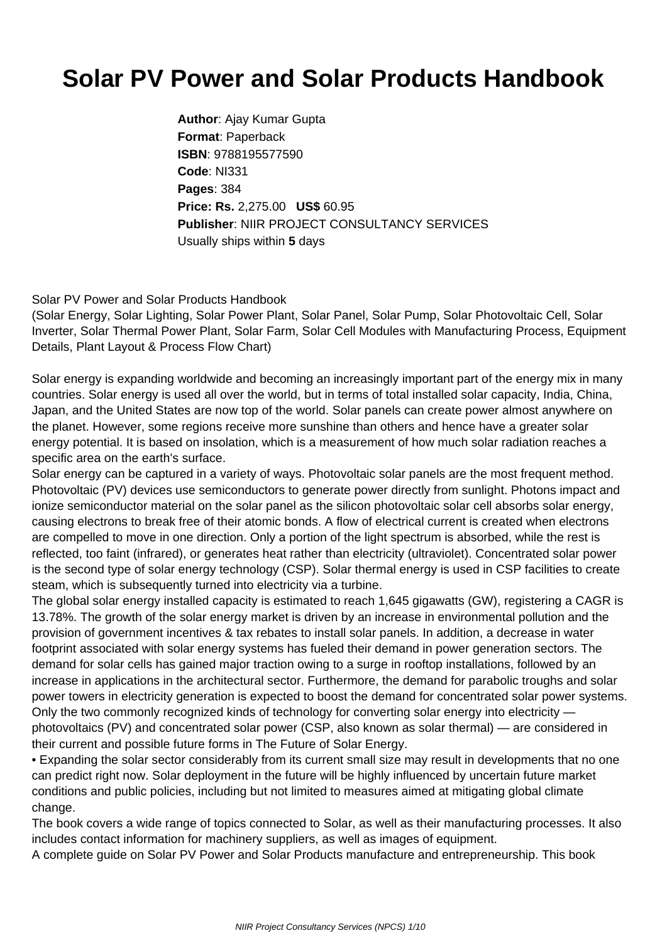## **Solar PV Power and Solar Products Handbook**

**Author**: Ajay Kumar Gupta **Format**: Paperback **ISBN**: 9788195577590 **Code**: NI331 **Pages**: 384 **Price: Rs.** 2,275.00 **US\$** 60.95 **Publisher**: NIIR PROJECT CONSULTANCY SERVICES Usually ships within **5** days

Solar PV Power and Solar Products Handbook

(Solar Energy, Solar Lighting, Solar Power Plant, Solar Panel, Solar Pump, Solar Photovoltaic Cell, Solar Inverter, Solar Thermal Power Plant, Solar Farm, Solar Cell Modules with Manufacturing Process, Equipment Details, Plant Layout & Process Flow Chart)

Solar energy is expanding worldwide and becoming an increasingly important part of the energy mix in many countries. Solar energy is used all over the world, but in terms of total installed solar capacity, India, China, Japan, and the United States are now top of the world. Solar panels can create power almost anywhere on the planet. However, some regions receive more sunshine than others and hence have a greater solar energy potential. It is based on insolation, which is a measurement of how much solar radiation reaches a specific area on the earth's surface.

Solar energy can be captured in a variety of ways. Photovoltaic solar panels are the most frequent method. Photovoltaic (PV) devices use semiconductors to generate power directly from sunlight. Photons impact and ionize semiconductor material on the solar panel as the silicon photovoltaic solar cell absorbs solar energy, causing electrons to break free of their atomic bonds. A flow of electrical current is created when electrons are compelled to move in one direction. Only a portion of the light spectrum is absorbed, while the rest is reflected, too faint (infrared), or generates heat rather than electricity (ultraviolet). Concentrated solar power is the second type of solar energy technology (CSP). Solar thermal energy is used in CSP facilities to create steam, which is subsequently turned into electricity via a turbine.

The global solar energy installed capacity is estimated to reach 1,645 gigawatts (GW), registering a CAGR is 13.78%. The growth of the solar energy market is driven by an increase in environmental pollution and the provision of government incentives & tax rebates to install solar panels. In addition, a decrease in water footprint associated with solar energy systems has fueled their demand in power generation sectors. The demand for solar cells has gained major traction owing to a surge in rooftop installations, followed by an increase in applications in the architectural sector. Furthermore, the demand for parabolic troughs and solar power towers in electricity generation is expected to boost the demand for concentrated solar power systems. Only the two commonly recognized kinds of technology for converting solar energy into electricity photovoltaics (PV) and concentrated solar power (CSP, also known as solar thermal) — are considered in their current and possible future forms in The Future of Solar Energy.

• Expanding the solar sector considerably from its current small size may result in developments that no one can predict right now. Solar deployment in the future will be highly influenced by uncertain future market conditions and public policies, including but not limited to measures aimed at mitigating global climate change.

The book covers a wide range of topics connected to Solar, as well as their manufacturing processes. It also includes contact information for machinery suppliers, as well as images of equipment.

A complete guide on Solar PV Power and Solar Products manufacture and entrepreneurship. This book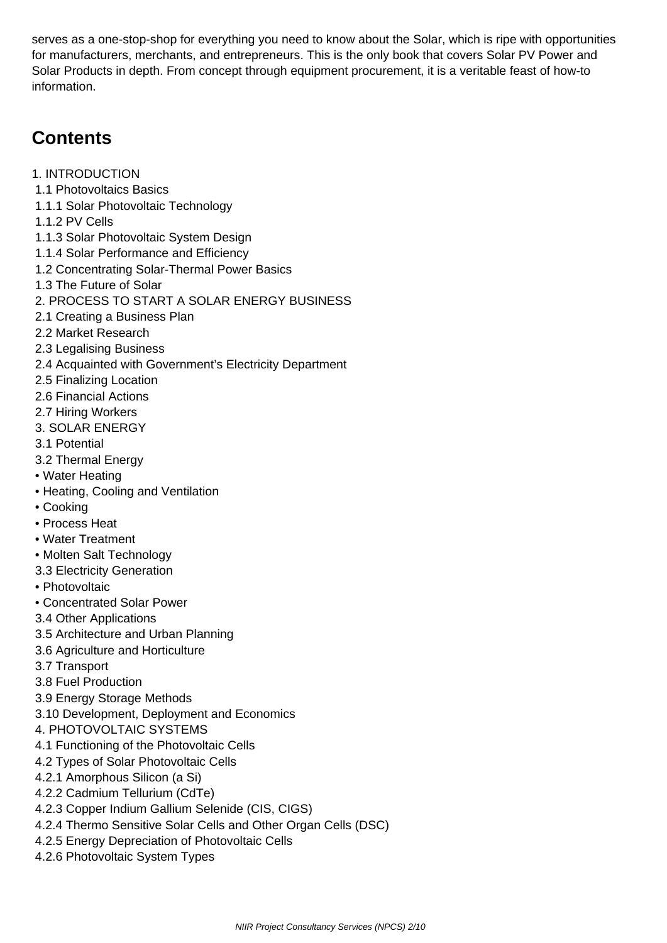serves as a one-stop-shop for everything you need to know about the Solar, which is ripe with opportunities for manufacturers, merchants, and entrepreneurs. This is the only book that covers Solar PV Power and Solar Products in depth. From concept through equipment procurement, it is a veritable feast of how-to information.

## **Contents**

- 1. INTRODUCTION
- 1.1 Photovoltaics Basics
- 1.1.1 Solar Photovoltaic Technology
- 1.1.2 PV Cells
- 1.1.3 Solar Photovoltaic System Design
- 1.1.4 Solar Performance and Efficiency
- 1.2 Concentrating Solar-Thermal Power Basics
- 1.3 The Future of Solar
- 2. PROCESS TO START A SOLAR ENERGY BUSINESS
- 2.1 Creating a Business Plan
- 2.2 Market Research
- 2.3 Legalising Business
- 2.4 Acquainted with Government's Electricity Department
- 2.5 Finalizing Location
- 2.6 Financial Actions
- 2.7 Hiring Workers
- 3. SOLAR ENERGY
- 3.1 Potential
- 3.2 Thermal Energy
- Water Heating
- Heating, Cooling and Ventilation
- Cooking
- Process Heat
- Water Treatment
- Molten Salt Technology
- 3.3 Electricity Generation
- Photovoltaic
- Concentrated Solar Power
- 3.4 Other Applications
- 3.5 Architecture and Urban Planning
- 3.6 Agriculture and Horticulture
- 3.7 Transport
- 3.8 Fuel Production
- 3.9 Energy Storage Methods
- 3.10 Development, Deployment and Economics
- 4. PHOTOVOLTAIC SYSTEMS
- 4.1 Functioning of the Photovoltaic Cells
- 4.2 Types of Solar Photovoltaic Cells
- 4.2.1 Amorphous Silicon (a Si)
- 4.2.2 Cadmium Tellurium (CdTe)
- 4.2.3 Copper Indium Gallium Selenide (CIS, CIGS)
- 4.2.4 Thermo Sensitive Solar Cells and Other Organ Cells (DSC)
- 4.2.5 Energy Depreciation of Photovoltaic Cells
- 4.2.6 Photovoltaic System Types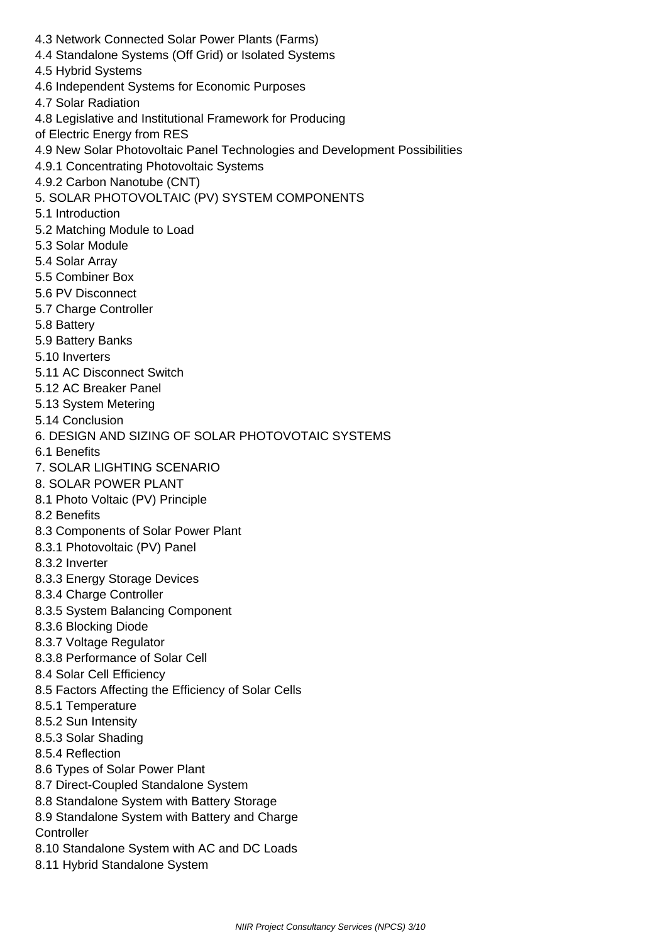- 4.3 Network Connected Solar Power Plants (Farms)
- 4.4 Standalone Systems (Off Grid) or Isolated Systems
- 4.5 Hybrid Systems
- 4.6 Independent Systems for Economic Purposes
- 4.7 Solar Radiation
- 4.8 Legislative and Institutional Framework for Producing
- of Electric Energy from RES
- 4.9 New Solar Photovoltaic Panel Technologies and Development Possibilities
- 4.9.1 Concentrating Photovoltaic Systems
- 4.9.2 Carbon Nanotube (CNT)
- 5. SOLAR PHOTOVOLTAIC (PV) SYSTEM COMPONENTS
- 5.1 Introduction
- 5.2 Matching Module to Load
- 5.3 Solar Module
- 5.4 Solar Array
- 5.5 Combiner Box
- 5.6 PV Disconnect
- 5.7 Charge Controller
- 5.8 Battery
- 5.9 Battery Banks
- 5.10 Inverters
- 5.11 AC Disconnect Switch
- 5.12 AC Breaker Panel
- 5.13 System Metering
- 5.14 Conclusion
- 6. DESIGN AND SIZING OF SOLAR PHOTOVOTAIC SYSTEMS
- 6.1 Benefits
- 7. SOLAR LIGHTING SCENARIO
- 8. SOLAR POWER PLANT
- 8.1 Photo Voltaic (PV) Principle
- 8.2 Benefits
- 8.3 Components of Solar Power Plant
- 8.3.1 Photovoltaic (PV) Panel
- 8.3.2 Inverter
- 8.3.3 Energy Storage Devices
- 8.3.4 Charge Controller
- 8.3.5 System Balancing Component
- 8.3.6 Blocking Diode
- 8.3.7 Voltage Regulator
- 8.3.8 Performance of Solar Cell
- 8.4 Solar Cell Efficiency
- 8.5 Factors Affecting the Efficiency of Solar Cells
- 8.5.1 Temperature
- 8.5.2 Sun Intensity
- 8.5.3 Solar Shading
- 8.5.4 Reflection
- 8.6 Types of Solar Power Plant
- 8.7 Direct-Coupled Standalone System
- 8.8 Standalone System with Battery Storage
- 8.9 Standalone System with Battery and Charge **Controller**
- 8.10 Standalone System with AC and DC Loads
- 8.11 Hybrid Standalone System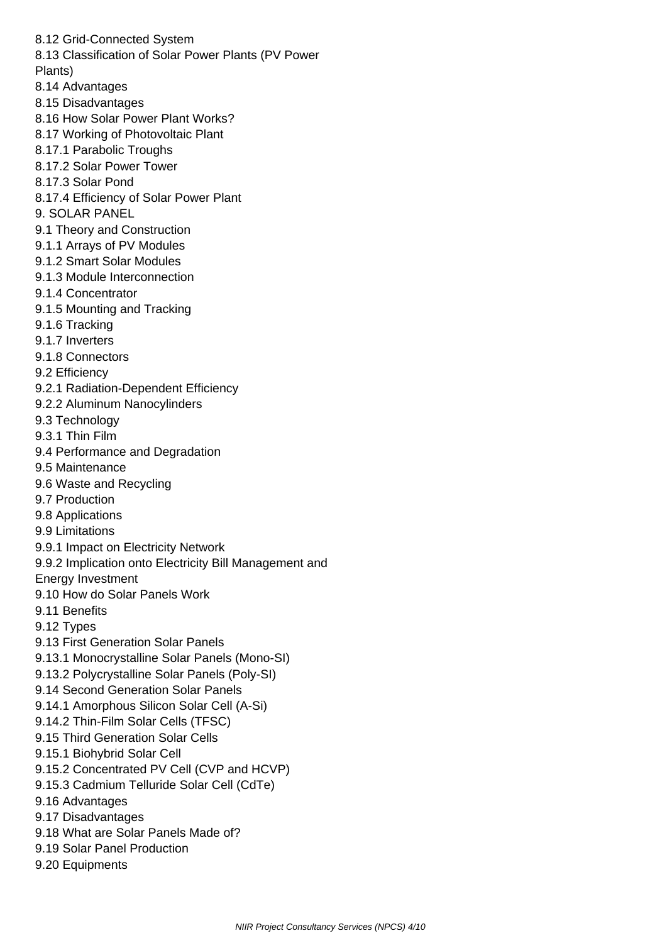8.12 Grid-Connected System

8.13 Classification of Solar Power Plants (PV Power

- Plants)
- 8.14 Advantages
- 8.15 Disadvantages
- 8.16 How Solar Power Plant Works?
- 8.17 Working of Photovoltaic Plant
- 8.17.1 Parabolic Troughs
- 8.17.2 Solar Power Tower
- 8.17.3 Solar Pond
- 8.17.4 Efficiency of Solar Power Plant
- 9. SOLAR PANEL
- 9.1 Theory and Construction
- 9.1.1 Arrays of PV Modules
- 9.1.2 Smart Solar Modules
- 9.1.3 Module Interconnection
- 9.1.4 Concentrator
- 9.1.5 Mounting and Tracking
- 9.1.6 Tracking
- 9.1.7 Inverters
- 9.1.8 Connectors
- 9.2 Efficiency
- 9.2.1 Radiation-Dependent Efficiency
- 9.2.2 Aluminum Nanocylinders
- 9.3 Technology
- 9.3.1 Thin Film
- 9.4 Performance and Degradation
- 9.5 Maintenance
- 9.6 Waste and Recycling
- 9.7 Production
- 9.8 Applications
- 9.9 Limitations
- 9.9.1 Impact on Electricity Network
- 9.9.2 Implication onto Electricity Bill Management and
- Energy Investment
- 9.10 How do Solar Panels Work
- 9.11 Benefits
- 9.12 Types
- 9.13 First Generation Solar Panels
- 9.13.1 Monocrystalline Solar Panels (Mono-SI)
- 9.13.2 Polycrystalline Solar Panels (Poly-SI)
- 9.14 Second Generation Solar Panels
- 9.14.1 Amorphous Silicon Solar Cell (A-Si)
- 9.14.2 Thin-Film Solar Cells (TFSC)
- 9.15 Third Generation Solar Cells
- 9.15.1 Biohybrid Solar Cell
- 9.15.2 Concentrated PV Cell (CVP and HCVP)
- 9.15.3 Cadmium Telluride Solar Cell (CdTe)
- 9.16 Advantages
- 9.17 Disadvantages
- 9.18 What are Solar Panels Made of?
- 9.19 Solar Panel Production
- 9.20 Equipments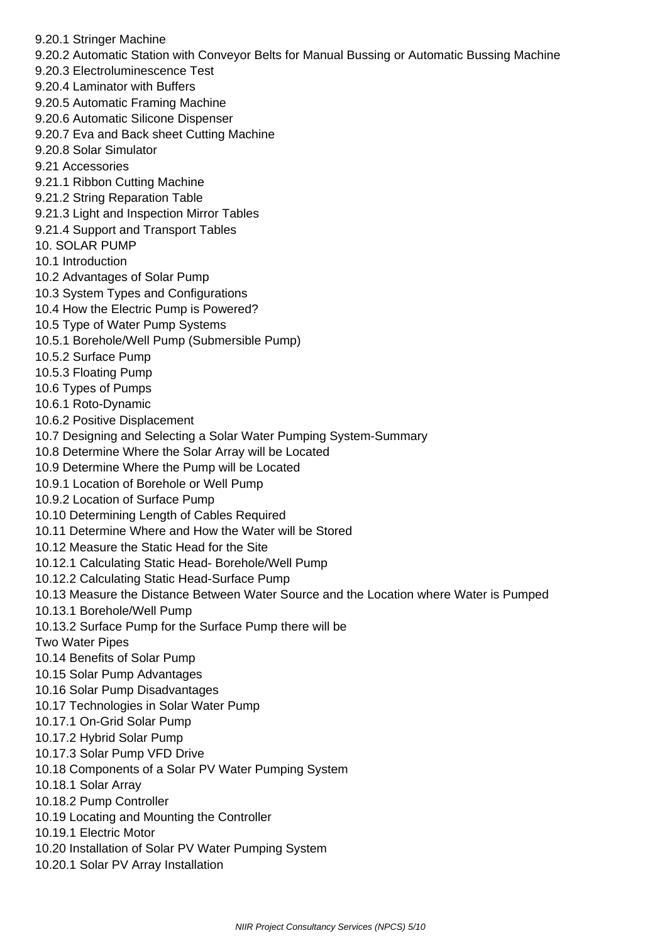- 9.20.1 Stringer Machine
- 9.20.2 Automatic Station with Conveyor Belts for Manual Bussing or Automatic Bussing Machine
- 9.20.3 Electroluminescence Test
- 9.20.4 Laminator with Buffers
- 9.20.5 Automatic Framing Machine
- 9.20.6 Automatic Silicone Dispenser
- 9.20.7 Eva and Back sheet Cutting Machine
- 9.20.8 Solar Simulator
- 9.21 Accessories
- 9.21.1 Ribbon Cutting Machine
- 9.21.2 String Reparation Table
- 9.21.3 Light and Inspection Mirror Tables
- 9.21.4 Support and Transport Tables
- 10. SOLAR PUMP
- 10.1 Introduction
- 10.2 Advantages of Solar Pump
- 10.3 System Types and Configurations
- 10.4 How the Electric Pump is Powered?
- 10.5 Type of Water Pump Systems
- 10.5.1 Borehole/Well Pump (Submersible Pump)
- 10.5.2 Surface Pump
- 10.5.3 Floating Pump
- 10.6 Types of Pumps
- 10.6.1 Roto-Dynamic
- 10.6.2 Positive Displacement
- 10.7 Designing and Selecting a Solar Water Pumping System-Summary
- 10.8 Determine Where the Solar Array will be Located
- 10.9 Determine Where the Pump will be Located
- 10.9.1 Location of Borehole or Well Pump
- 10.9.2 Location of Surface Pump
- 10.10 Determining Length of Cables Required
- 10.11 Determine Where and How the Water will be Stored
- 10.12 Measure the Static Head for the Site
- 10.12.1 Calculating Static Head- Borehole/Well Pump
- 10.12.2 Calculating Static Head-Surface Pump
- 10.13 Measure the Distance Between Water Source and the Location where Water is Pumped
- 10.13.1 Borehole/Well Pump
- 10.13.2 Surface Pump for the Surface Pump there will be
- Two Water Pipes
- 10.14 Benefits of Solar Pump
- 10.15 Solar Pump Advantages
- 10.16 Solar Pump Disadvantages
- 10.17 Technologies in Solar Water Pump
- 10.17.1 On-Grid Solar Pump
- 10.17.2 Hybrid Solar Pump
- 10.17.3 Solar Pump VFD Drive
- 10.18 Components of a Solar PV Water Pumping System
- 10.18.1 Solar Array
- 10.18.2 Pump Controller
- 10.19 Locating and Mounting the Controller
- 10.19.1 Electric Motor
- 10.20 Installation of Solar PV Water Pumping System
- 10.20.1 Solar PV Array Installation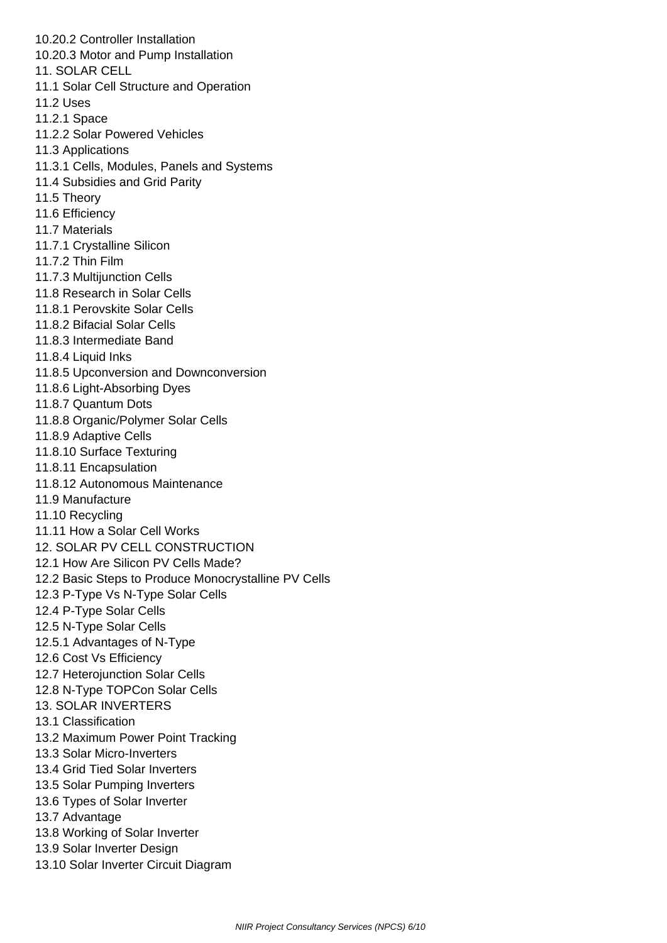10.20.2 Controller Installation 10.20.3 Motor and Pump Installation 11. SOLAR CELL 11.1 Solar Cell Structure and Operation 11.2 Uses 11.2.1 Space 11.2.2 Solar Powered Vehicles 11.3 Applications 11.3.1 Cells, Modules, Panels and Systems 11.4 Subsidies and Grid Parity 11.5 Theory 11.6 Efficiency 11.7 Materials 11.7.1 Crystalline Silicon 11.7.2 Thin Film 11.7.3 Multijunction Cells 11.8 Research in Solar Cells 11.8.1 Perovskite Solar Cells 11.8.2 Bifacial Solar Cells 11.8.3 Intermediate Band 11.8.4 Liquid Inks 11.8.5 Upconversion and Downconversion 11.8.6 Light-Absorbing Dyes 11.8.7 Quantum Dots 11.8.8 Organic/Polymer Solar Cells 11.8.9 Adaptive Cells 11.8.10 Surface Texturing 11.8.11 Encapsulation 11.8.12 Autonomous Maintenance 11.9 Manufacture 11.10 Recycling 11.11 How a Solar Cell Works 12. SOLAR PV CELL CONSTRUCTION 12.1 How Are Silicon PV Cells Made? 12.2 Basic Steps to Produce Monocrystalline PV Cells 12.3 P-Type Vs N-Type Solar Cells 12.4 P-Type Solar Cells 12.5 N-Type Solar Cells 12.5.1 Advantages of N-Type 12.6 Cost Vs Efficiency 12.7 Heterojunction Solar Cells 12.8 N-Type TOPCon Solar Cells 13. SOLAR INVERTERS 13.1 Classification 13.2 Maximum Power Point Tracking 13.3 Solar Micro-Inverters 13.4 Grid Tied Solar Inverters 13.5 Solar Pumping Inverters 13.6 Types of Solar Inverter 13.7 Advantage 13.8 Working of Solar Inverter 13.9 Solar Inverter Design 13.10 Solar Inverter Circuit Diagram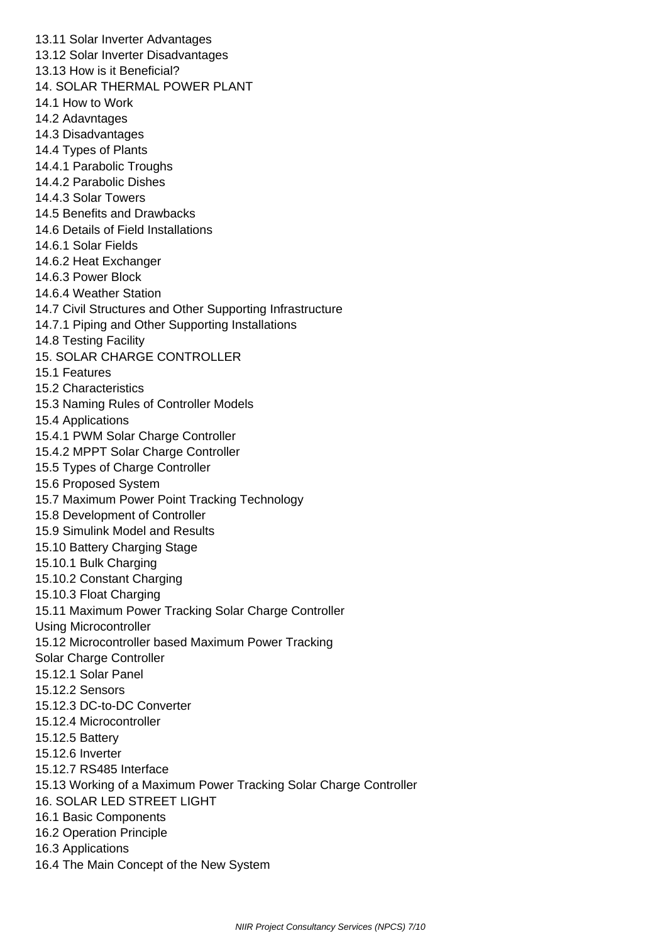13.11 Solar Inverter Advantages 13.12 Solar Inverter Disadvantages 13.13 How is it Beneficial? 14. SOLAR THERMAL POWER PLANT 14.1 How to Work 14.2 Adavntages 14.3 Disadvantages 14.4 Types of Plants 14.4.1 Parabolic Troughs 14.4.2 Parabolic Dishes 14.4.3 Solar Towers 14.5 Benefits and Drawbacks 14.6 Details of Field Installations 14.6.1 Solar Fields 14.6.2 Heat Exchanger 14.6.3 Power Block 14.6.4 Weather Station 14.7 Civil Structures and Other Supporting Infrastructure 14.7.1 Piping and Other Supporting Installations 14.8 Testing Facility 15. SOLAR CHARGE CONTROLLER 15.1 Features 15.2 Characteristics 15.3 Naming Rules of Controller Models 15.4 Applications 15.4.1 PWM Solar Charge Controller 15.4.2 MPPT Solar Charge Controller 15.5 Types of Charge Controller 15.6 Proposed System 15.7 Maximum Power Point Tracking Technology 15.8 Development of Controller 15.9 Simulink Model and Results 15.10 Battery Charging Stage 15.10.1 Bulk Charging 15.10.2 Constant Charging 15.10.3 Float Charging 15.11 Maximum Power Tracking Solar Charge Controller Using Microcontroller 15.12 Microcontroller based Maximum Power Tracking Solar Charge Controller 15.12.1 Solar Panel 15.12.2 Sensors 15.12.3 DC-to-DC Converter 15.12.4 Microcontroller 15.12.5 Battery 15.12.6 Inverter 15.12.7 RS485 Interface 15.13 Working of a Maximum Power Tracking Solar Charge Controller 16. SOLAR LED STREET LIGHT 16.1 Basic Components 16.2 Operation Principle 16.3 Applications 16.4 The Main Concept of the New System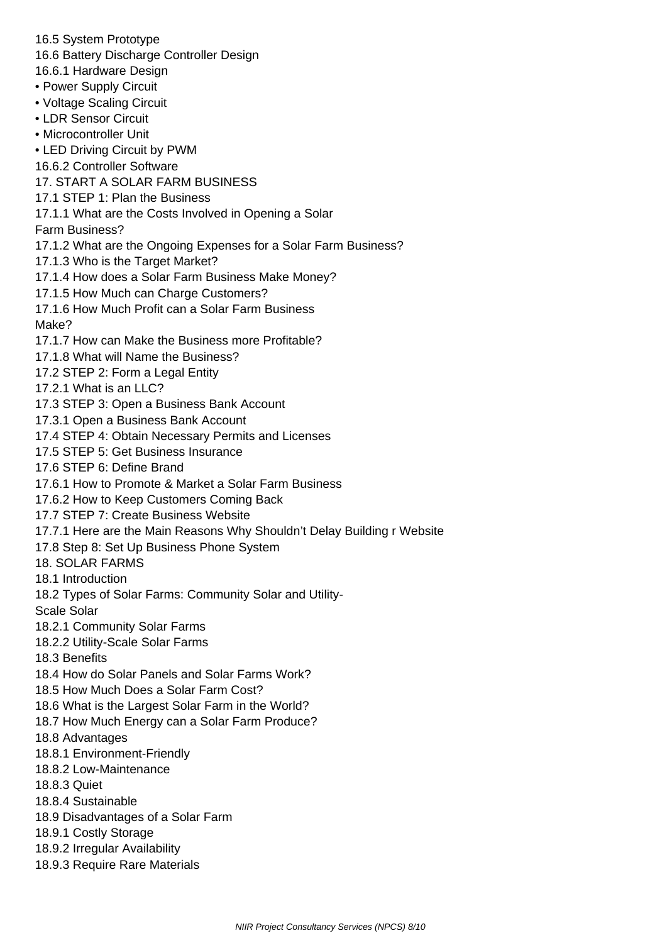16.5 System Prototype

- 16.6 Battery Discharge Controller Design
- 16.6.1 Hardware Design
- Power Supply Circuit
- Voltage Scaling Circuit
- LDR Sensor Circuit
- Microcontroller Unit
- LED Driving Circuit by PWM
- 16.6.2 Controller Software
- 17. START A SOLAR FARM BUSINESS
- 17.1 STEP 1: Plan the Business
- 17.1.1 What are the Costs Involved in Opening a Solar
- Farm Business?
- 17.1.2 What are the Ongoing Expenses for a Solar Farm Business?
- 17.1.3 Who is the Target Market?
- 17.1.4 How does a Solar Farm Business Make Money?
- 17.1.5 How Much can Charge Customers?
- 17.1.6 How Much Profit can a Solar Farm Business
- Make?
- 17.1.7 How can Make the Business more Profitable?
- 17.1.8 What will Name the Business?
- 17.2 STEP 2: Form a Legal Entity
- 17.2.1 What is an LLC?
- 17.3 STEP 3: Open a Business Bank Account
- 17.3.1 Open a Business Bank Account
- 17.4 STEP 4: Obtain Necessary Permits and Licenses
- 17.5 STEP 5: Get Business Insurance
- 17.6 STEP 6: Define Brand
- 17.6.1 How to Promote & Market a Solar Farm Business
- 17.6.2 How to Keep Customers Coming Back
- 17.7 STEP 7: Create Business Website
- 17.7.1 Here are the Main Reasons Why Shouldn't Delay Building r Website
- 17.8 Step 8: Set Up Business Phone System
- 18. SOLAR FARMS
- 18.1 Introduction
- 18.2 Types of Solar Farms: Community Solar and Utility-
- Scale Solar
- 18.2.1 Community Solar Farms
- 18.2.2 Utility-Scale Solar Farms
- 18.3 Benefits
- 18.4 How do Solar Panels and Solar Farms Work?
- 18.5 How Much Does a Solar Farm Cost?
- 18.6 What is the Largest Solar Farm in the World?
- 18.7 How Much Energy can a Solar Farm Produce?
- 18.8 Advantages
- 18.8.1 Environment-Friendly
- 18.8.2 Low-Maintenance
- 18.8.3 Quiet
- 18.8.4 Sustainable
- 18.9 Disadvantages of a Solar Farm
- 18.9.1 Costly Storage
- 18.9.2 Irregular Availability
- 18.9.3 Require Rare Materials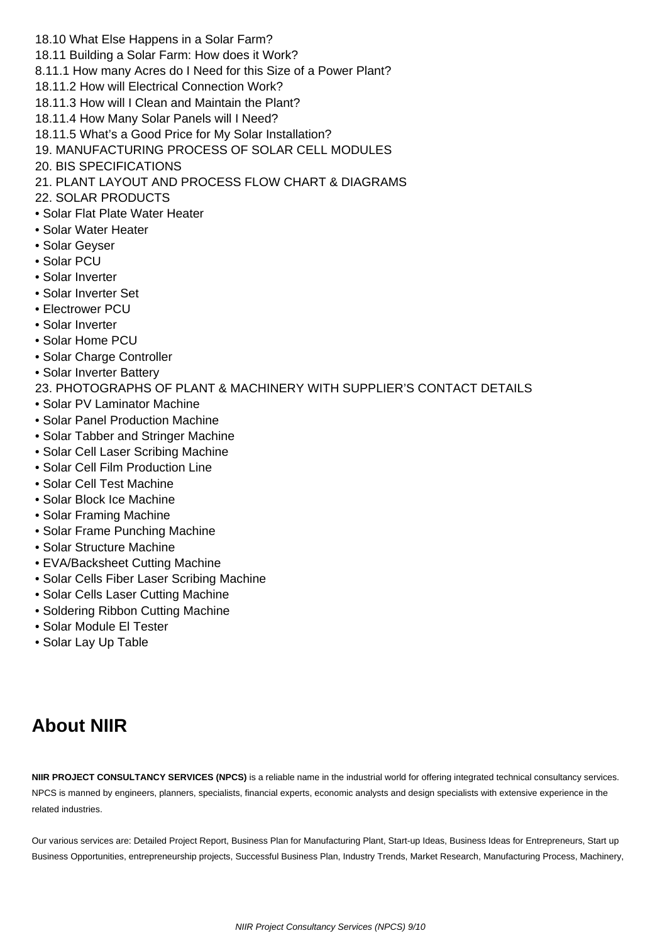- 18.10 What Else Happens in a Solar Farm?
- 18.11 Building a Solar Farm: How does it Work?
- 8.11.1 How many Acres do I Need for this Size of a Power Plant?
- 18.11.2 How will Electrical Connection Work?
- 18.11.3 How will I Clean and Maintain the Plant?
- 18.11.4 How Many Solar Panels will I Need?
- 18.11.5 What's a Good Price for My Solar Installation?
- 19. MANUFACTURING PROCESS OF SOLAR CELL MODULES
- 20. BIS SPECIFICATIONS
- 21. PLANT LAYOUT AND PROCESS FLOW CHART & DIAGRAMS
- 22. SOLAR PRODUCTS
- Solar Flat Plate Water Heater
- Solar Water Heater
- Solar Geyser
- Solar PCU
- Solar Inverter
- Solar Inverter Set
- Electrower PCU
- Solar Inverter
- Solar Home PCU
- Solar Charge Controller
- Solar Inverter Battery
- 23. PHOTOGRAPHS OF PLANT & MACHINERY WITH SUPPLIER'S CONTACT DETAILS
- Solar PV Laminator Machine
- Solar Panel Production Machine
- Solar Tabber and Stringer Machine
- Solar Cell Laser Scribing Machine
- Solar Cell Film Production Line
- Solar Cell Test Machine
- Solar Block Ice Machine
- Solar Framing Machine
- Solar Frame Punching Machine
- Solar Structure Machine
- EVA/Backsheet Cutting Machine
- Solar Cells Fiber Laser Scribing Machine
- Solar Cells Laser Cutting Machine
- Soldering Ribbon Cutting Machine
- Solar Module El Tester
- Solar Lay Up Table

## **About NIIR**

**NIIR PROJECT CONSULTANCY SERVICES (NPCS)** is a reliable name in the industrial world for offering integrated technical consultancy services. NPCS is manned by engineers, planners, specialists, financial experts, economic analysts and design specialists with extensive experience in the related industries.

Our various services are: Detailed Project Report, Business Plan for Manufacturing Plant, Start-up Ideas, Business Ideas for Entrepreneurs, Start up Business Opportunities, entrepreneurship projects, Successful Business Plan, Industry Trends, Market Research, Manufacturing Process, Machinery,